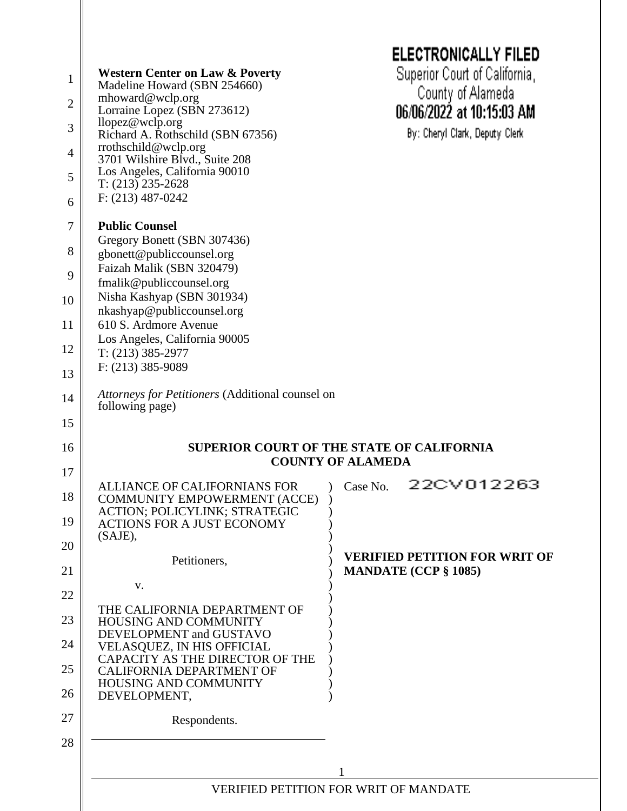|                |                                                                                                                    | <b>ELECTRONICALLY FILED</b>                    |  |
|----------------|--------------------------------------------------------------------------------------------------------------------|------------------------------------------------|--|
| $\mathbf{1}$   | <b>Western Center on Law &amp; Poverty</b>                                                                         | Superior Court of California,                  |  |
| $\overline{c}$ | Madeline Howard (SBN 254660)<br>mhoward@wclp.org<br>Lorraine Lopez (SBN 273612)                                    | County of Alameda<br>06/06/2022 at 10:15:03 AM |  |
| 3              | llopez@wclp.org<br>Richard A. Rothschild (SBN 67356)                                                               | By: Cheryl Clark, Deputy Clerk                 |  |
| 4              | rrothschild@wclp.org<br>3701 Wilshire Blvd., Suite 208                                                             |                                                |  |
| 5              | Los Angeles, California 90010                                                                                      |                                                |  |
| 6              | $T: (213)$ 235-2628<br>$F: (213) 487 - 0242$                                                                       |                                                |  |
| 7              | <b>Public Counsel</b>                                                                                              |                                                |  |
| 8              | Gregory Bonett (SBN 307436)<br>gbonett@publiccounsel.org                                                           |                                                |  |
| 9              | Faizah Malik (SBN 320479)<br>fmalik@publiccounsel.org                                                              |                                                |  |
| 10             | Nisha Kashyap (SBN 301934)                                                                                         |                                                |  |
| 11             | nkashyap@publiccounsel.org<br>610 S. Ardmore Avenue                                                                |                                                |  |
| 12             | Los Angeles, California 90005<br>$T: (213)$ 385-2977                                                               |                                                |  |
| 13             | F: (213) 385-9089                                                                                                  |                                                |  |
| 14             | Attorneys for Petitioners (Additional counsel on<br>following page)                                                |                                                |  |
| 15             |                                                                                                                    |                                                |  |
|                | <b>SUPERIOR COURT OF THE STATE OF CALIFORNIA</b><br><b>COUNTY OF ALAMEDA</b>                                       |                                                |  |
| 16             |                                                                                                                    |                                                |  |
| 17             |                                                                                                                    |                                                |  |
| 18             | <b>ALLIANCE OF CALIFORNIANS FOR</b><br><b>COMMUNITY EMPOWERMENT (ACCE)</b><br><b>ACTION; POLICYLINK; STRATEGIC</b> | 22CV012263<br>Case No.                         |  |
| 19             | <b>ACTIONS FOR A JUST ECONOMY</b><br>(SAJE),                                                                       |                                                |  |
| 20             | Petitioners,                                                                                                       | <b>VERIFIED PETITION FOR WRIT OF</b>           |  |
| 21             | V.                                                                                                                 | <b>MANDATE (CCP § 1085)</b>                    |  |
| 22             |                                                                                                                    |                                                |  |
| 23             | THE CALIFORNIA DEPARTMENT OF<br><b>HOUSING AND COMMUNITY</b>                                                       |                                                |  |
| 24             | DEVELOPMENT and GUSTAVO<br>VELASQUEZ, IN HIS OFFICIAL                                                              |                                                |  |
| 25             | CAPACITY AS THE DIRECTOR OF THE<br><b>CALIFORNIA DEPARTMENT OF</b>                                                 |                                                |  |
| 26             | HOUSING AND COMMUNITY<br>DEVELOPMENT,                                                                              |                                                |  |
| 27             | Respondents.                                                                                                       |                                                |  |
| 28             |                                                                                                                    |                                                |  |
|                |                                                                                                                    |                                                |  |
|                |                                                                                                                    | <b>VERIFIED PETITION FOR WRIT OF MANDATE</b>   |  |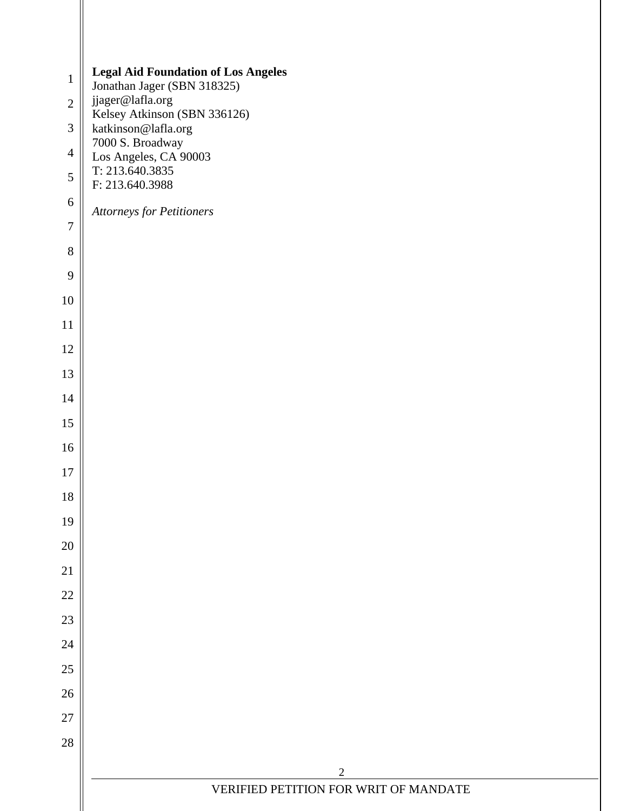| <b>Legal Aid Foundation of Los Angeles</b><br>$\mathbf{1}$<br>Jonathan Jager (SBN 318325)<br>jjager@lafla.org<br>$\overline{2}$<br>Kelsey Atkinson (SBN 336126)<br>katkinson@lafla.org<br>$\mathfrak{Z}$<br>7000 S. Broadway<br>$\overline{4}$<br>Los Angeles, CA 90003<br>T: 213.640.3835<br>5<br>F: 213.640.3988<br>$\sqrt{6}$<br><b>Attorneys for Petitioners</b><br>$\overline{7}$<br>$8\,$<br>9<br>10<br>11<br>12<br>13<br>14<br>15<br>16<br>17<br>18<br>19<br>$20\,$<br>21<br>$22\,$<br>23<br>24<br>$25\,$<br>$26\,$ |  |
|----------------------------------------------------------------------------------------------------------------------------------------------------------------------------------------------------------------------------------------------------------------------------------------------------------------------------------------------------------------------------------------------------------------------------------------------------------------------------------------------------------------------------|--|
|                                                                                                                                                                                                                                                                                                                                                                                                                                                                                                                            |  |
|                                                                                                                                                                                                                                                                                                                                                                                                                                                                                                                            |  |
|                                                                                                                                                                                                                                                                                                                                                                                                                                                                                                                            |  |
|                                                                                                                                                                                                                                                                                                                                                                                                                                                                                                                            |  |
|                                                                                                                                                                                                                                                                                                                                                                                                                                                                                                                            |  |
|                                                                                                                                                                                                                                                                                                                                                                                                                                                                                                                            |  |
|                                                                                                                                                                                                                                                                                                                                                                                                                                                                                                                            |  |
|                                                                                                                                                                                                                                                                                                                                                                                                                                                                                                                            |  |
|                                                                                                                                                                                                                                                                                                                                                                                                                                                                                                                            |  |
|                                                                                                                                                                                                                                                                                                                                                                                                                                                                                                                            |  |
|                                                                                                                                                                                                                                                                                                                                                                                                                                                                                                                            |  |
|                                                                                                                                                                                                                                                                                                                                                                                                                                                                                                                            |  |
|                                                                                                                                                                                                                                                                                                                                                                                                                                                                                                                            |  |
|                                                                                                                                                                                                                                                                                                                                                                                                                                                                                                                            |  |
|                                                                                                                                                                                                                                                                                                                                                                                                                                                                                                                            |  |
|                                                                                                                                                                                                                                                                                                                                                                                                                                                                                                                            |  |
|                                                                                                                                                                                                                                                                                                                                                                                                                                                                                                                            |  |
|                                                                                                                                                                                                                                                                                                                                                                                                                                                                                                                            |  |
|                                                                                                                                                                                                                                                                                                                                                                                                                                                                                                                            |  |
|                                                                                                                                                                                                                                                                                                                                                                                                                                                                                                                            |  |
|                                                                                                                                                                                                                                                                                                                                                                                                                                                                                                                            |  |
|                                                                                                                                                                                                                                                                                                                                                                                                                                                                                                                            |  |
|                                                                                                                                                                                                                                                                                                                                                                                                                                                                                                                            |  |
|                                                                                                                                                                                                                                                                                                                                                                                                                                                                                                                            |  |
|                                                                                                                                                                                                                                                                                                                                                                                                                                                                                                                            |  |
| $27\,$                                                                                                                                                                                                                                                                                                                                                                                                                                                                                                                     |  |
| $28\,$                                                                                                                                                                                                                                                                                                                                                                                                                                                                                                                     |  |
| $\sqrt{2}$                                                                                                                                                                                                                                                                                                                                                                                                                                                                                                                 |  |
| VERIFIED PETITION FOR WRIT OF MANDATE                                                                                                                                                                                                                                                                                                                                                                                                                                                                                      |  |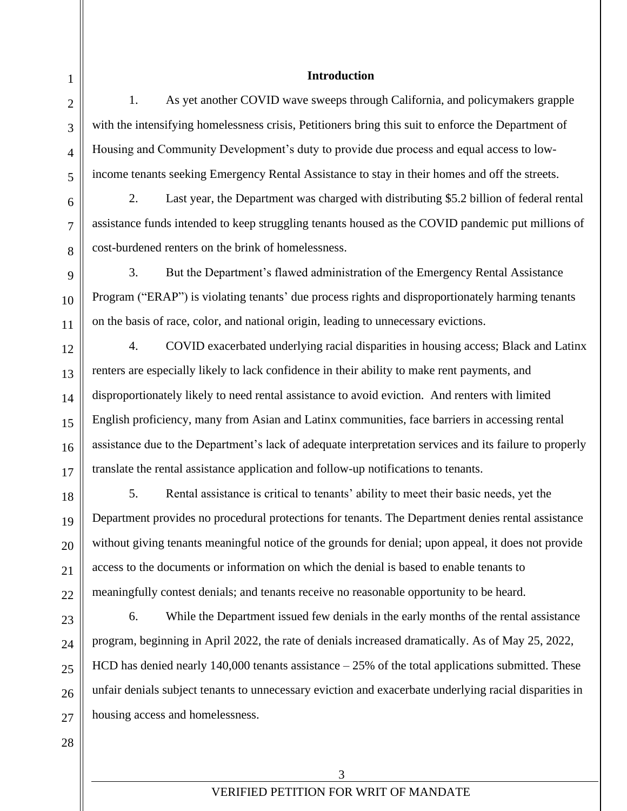## **Introduction**

1. As yet another COVID wave sweeps through California, and policymakers grapple with the intensifying homelessness crisis, Petitioners bring this suit to enforce the Department of Housing and Community Development's duty to provide due process and equal access to lowincome tenants seeking Emergency Rental Assistance to stay in their homes and off the streets.

2. Last year, the Department was charged with distributing \$5.2 billion of federal rental assistance funds intended to keep struggling tenants housed as the COVID pandemic put millions of cost-burdened renters on the brink of homelessness.

3. But the Department's flawed administration of the Emergency Rental Assistance Program ("ERAP") is violating tenants' due process rights and disproportionately harming tenants on the basis of race, color, and national origin, leading to unnecessary evictions.

4. COVID exacerbated underlying racial disparities in housing access; Black and Latinx renters are especially likely to lack confidence in their ability to make rent payments, and disproportionately likely to need rental assistance to avoid eviction. And renters with limited English proficiency, many from Asian and Latinx communities, face barriers in accessing rental assistance due to the Department's lack of adequate interpretation services and its failure to properly translate the rental assistance application and follow-up notifications to tenants.

5. Rental assistance is critical to tenants' ability to meet their basic needs, yet the Department provides no procedural protections for tenants. The Department denies rental assistance without giving tenants meaningful notice of the grounds for denial; upon appeal, it does not provide access to the documents or information on which the denial is based to enable tenants to meaningfully contest denials; and tenants receive no reasonable opportunity to be heard.

6. While the Department issued few denials in the early months of the rental assistance program, beginning in April 2022, the rate of denials increased dramatically. As of May 25, 2022, HCD has denied nearly 140,000 tenants assistance – 25% of the total applications submitted. These unfair denials subject tenants to unnecessary eviction and exacerbate underlying racial disparities in housing access and homelessness.

1

2

3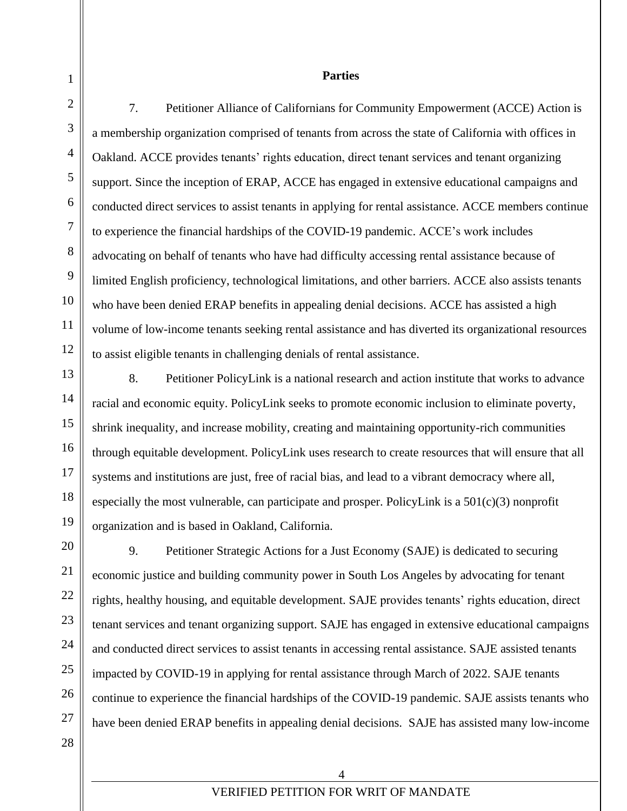#### **Parties**

7. Petitioner Alliance of Californians for Community Empowerment (ACCE) Action is a membership organization comprised of tenants from across the state of California with offices in Oakland. ACCE provides tenants' rights education, direct tenant services and tenant organizing support. Since the inception of ERAP, ACCE has engaged in extensive educational campaigns and conducted direct services to assist tenants in applying for rental assistance. ACCE members continue to experience the financial hardships of the COVID-19 pandemic. ACCE's work includes advocating on behalf of tenants who have had difficulty accessing rental assistance because of limited English proficiency, technological limitations, and other barriers. ACCE also assists tenants who have been denied ERAP benefits in appealing denial decisions. ACCE has assisted a high volume of low-income tenants seeking rental assistance and has diverted its organizational resources to assist eligible tenants in challenging denials of rental assistance.

8. Petitioner PolicyLink is a national research and action institute that works to advance racial and economic equity. PolicyLink seeks to promote economic inclusion to eliminate poverty, shrink inequality, and increase mobility, creating and maintaining opportunity-rich communities through equitable development. PolicyLink uses research to create resources that will ensure that all systems and institutions are just, free of racial bias, and lead to a vibrant democracy where all, especially the most vulnerable, can participate and prosper. PolicyLink is a 501(c)(3) nonprofit organization and is based in Oakland, California.

9. Petitioner Strategic Actions for a Just Economy (SAJE) is dedicated to securing economic justice and building community power in South Los Angeles by advocating for tenant rights, healthy housing, and equitable development. SAJE provides tenants' rights education, direct tenant services and tenant organizing support. SAJE has engaged in extensive educational campaigns and conducted direct services to assist tenants in accessing rental assistance. SAJE assisted tenants impacted by COVID-19 in applying for rental assistance through March of 2022. SAJE tenants continue to experience the financial hardships of the COVID-19 pandemic. SAJE assists tenants who have been denied ERAP benefits in appealing denial decisions. SAJE has assisted many low-income

4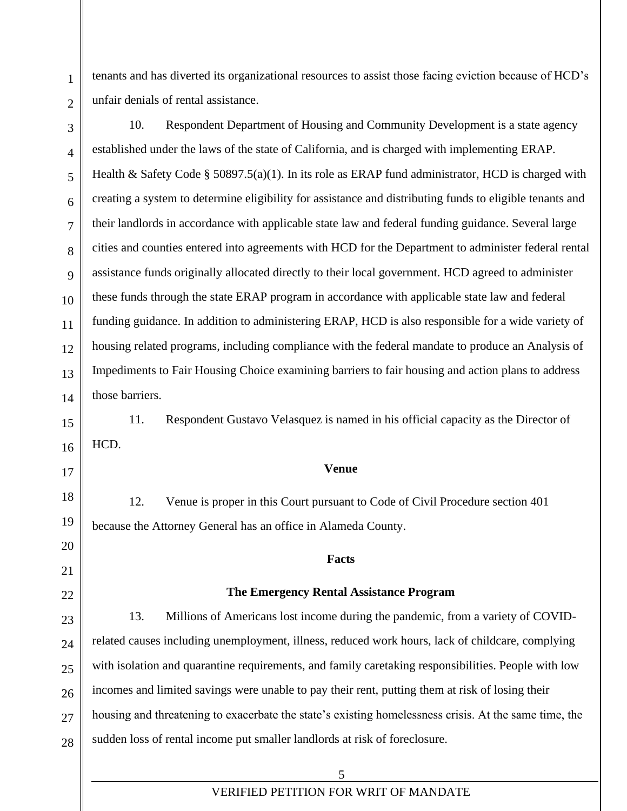tenants and has diverted its organizational resources to assist those facing eviction because of HCD's unfair denials of rental assistance.

10. Respondent Department of Housing and Community Development is a state agency established under the laws of the state of California, and is charged with implementing ERAP. Health & Safety Code § 50897.5(a)(1). In its role as ERAP fund administrator, HCD is charged with creating a system to determine eligibility for assistance and distributing funds to eligible tenants and their landlords in accordance with applicable state law and federal funding guidance. Several large cities and counties entered into agreements with HCD for the Department to administer federal rental assistance funds originally allocated directly to their local government. HCD agreed to administer these funds through the state ERAP program in accordance with applicable state law and federal funding guidance. In addition to administering ERAP, HCD is also responsible for a wide variety of housing related programs, including compliance with the federal mandate to produce an Analysis of Impediments to Fair Housing Choice examining barriers to fair housing and action plans to address those barriers.

11. Respondent Gustavo Velasquez is named in his official capacity as the Director of HCD.

**Venue**

12. Venue is proper in this Court pursuant to Code of Civil Procedure section 401 because the Attorney General has an office in Alameda County.

#### **Facts**

#### **The Emergency Rental Assistance Program**

13. Millions of Americans lost income during the pandemic, from a variety of COVIDrelated causes including unemployment, illness, reduced work hours, lack of childcare, complying with isolation and quarantine requirements, and family caretaking responsibilities. People with low incomes and limited savings were unable to pay their rent, putting them at risk of losing their housing and threatening to exacerbate the state's existing homelessness crisis. At the same time, the sudden loss of rental income put smaller landlords at risk of foreclosure.

> 5 VERIFIED PETITION FOR WRIT OF MANDATE

1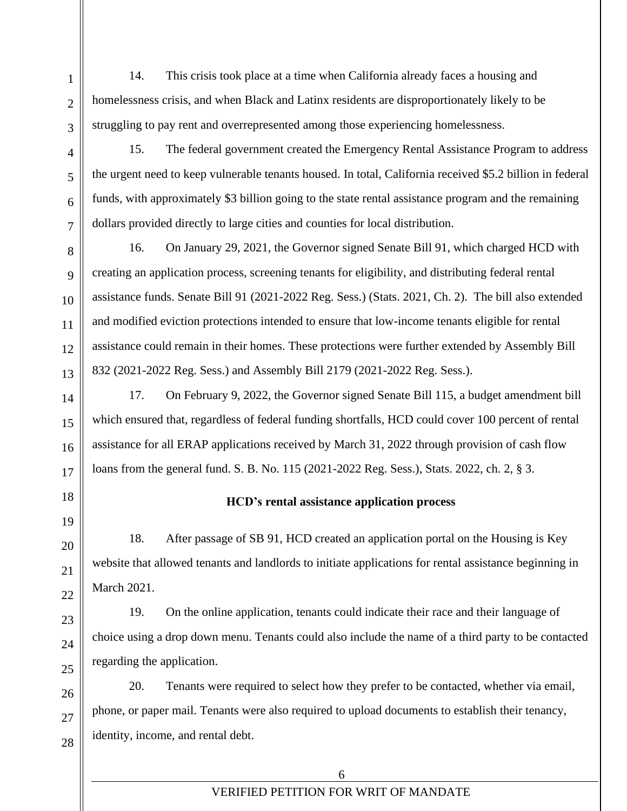14. This crisis took place at a time when California already faces a housing and homelessness crisis, and when Black and Latinx residents are disproportionately likely to be struggling to pay rent and overrepresented among those experiencing homelessness.

15. The federal government created the Emergency Rental Assistance Program to address the urgent need to keep vulnerable tenants housed. In total, California received \$5.2 billion in federal funds, with approximately \$3 billion going to the state rental assistance program and the remaining dollars provided directly to large cities and counties for local distribution.

16. On January 29, 2021, the Governor signed Senate Bill 91, which charged HCD with creating an application process, screening tenants for eligibility, and distributing federal rental assistance funds. Senate Bill 91 (2021-2022 Reg. Sess.) (Stats. 2021, Ch. 2). The bill also extended and modified eviction protections intended to ensure that low-income tenants eligible for rental assistance could remain in their homes. These protections were further extended by Assembly Bill 832 (2021-2022 Reg. Sess.) and Assembly Bill 2179 (2021-2022 Reg. Sess.).

17. On February 9, 2022, the Governor signed Senate Bill 115, a budget amendment bill which ensured that, regardless of federal funding shortfalls, HCD could cover 100 percent of rental assistance for all ERAP applications received by March 31, 2022 through provision of cash flow loans from the general fund. S. B. No. 115 (2021-2022 Reg. Sess.), Stats. 2022, ch. 2, § 3.

# **HCD's rental assistance application process**

18. After passage of SB 91, HCD created an application portal on the Housing is Key website that allowed tenants and landlords to initiate applications for rental assistance beginning in March 2021.

19. On the online application, tenants could indicate their race and their language of choice using a drop down menu. Tenants could also include the name of a third party to be contacted regarding the application.

20. Tenants were required to select how they prefer to be contacted, whether via email, phone, or paper mail. Tenants were also required to upload documents to establish their tenancy, identity, income, and rental debt.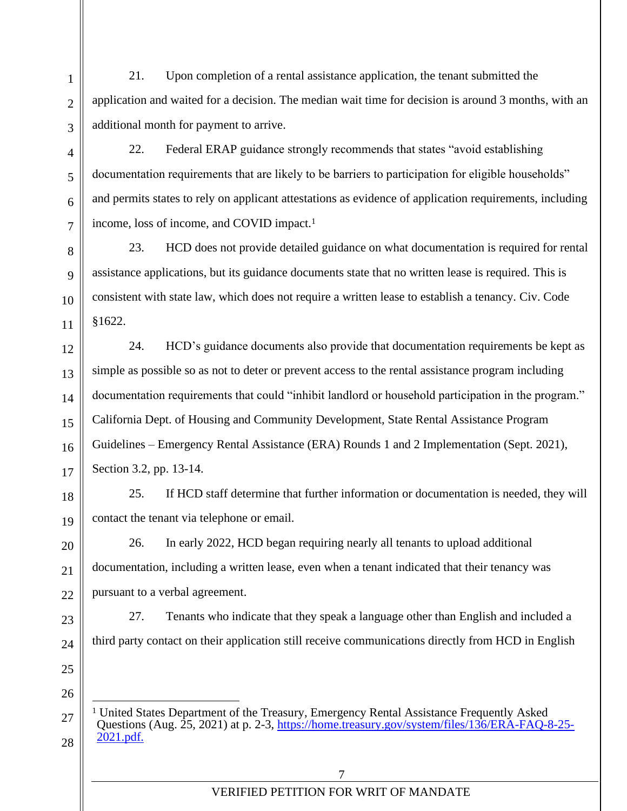21. Upon completion of a rental assistance application, the tenant submitted the application and waited for a decision. The median wait time for decision is around 3 months, with an additional month for payment to arrive.

22. Federal ERAP guidance strongly recommends that states "avoid establishing documentation requirements that are likely to be barriers to participation for eligible households" and permits states to rely on applicant attestations as evidence of application requirements, including income, loss of income, and COVID impact.<sup>1</sup>

23. HCD does not provide detailed guidance on what documentation is required for rental assistance applications, but its guidance documents state that no written lease is required. This is consistent with state law, which does not require a written lease to establish a tenancy. Civ. Code §1622.

24. HCD's guidance documents also provide that documentation requirements be kept as simple as possible so as not to deter or prevent access to the rental assistance program including documentation requirements that could "inhibit landlord or household participation in the program." California Dept. of Housing and Community Development, State Rental Assistance Program Guidelines – Emergency Rental Assistance (ERA) Rounds 1 and 2 Implementation (Sept. 2021), Section 3.2, pp. 13-14.

25. If HCD staff determine that further information or documentation is needed, they will contact the tenant via telephone or email.

26. In early 2022, HCD began requiring nearly all tenants to upload additional documentation, including a written lease, even when a tenant indicated that their tenancy was pursuant to a verbal agreement.

27. Tenants who indicate that they speak a language other than English and included a third party contact on their application still receive communications directly from HCD in English

25 26

28

1

 $\mathcal{L}$ 

3

4

5

6

7

8

9

10

11

12

13

14

15

16

17

18

19

20

21

22

23

24

<sup>27</sup> <sup>1</sup> United States Department of the Treasury, Emergency Rental Assistance Frequently Asked Questions (Aug. 25, 2021) at p. 2-3, [https://home.treasury.gov/system/files/136/ERA-FAQ-8-25-](https://home.treasury.gov/system/files/136/ERA-FAQ-8-25-2021.pdf) [2021.pdf.](https://home.treasury.gov/system/files/136/ERA-FAQ-8-25-2021.pdf)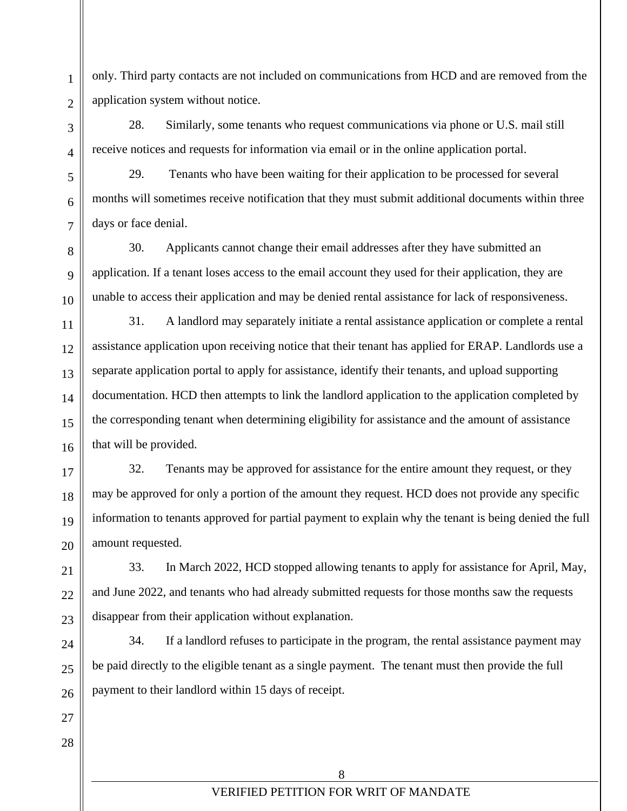only. Third party contacts are not included on communications from HCD and are removed from the application system without notice.

28. Similarly, some tenants who request communications via phone or U.S. mail still receive notices and requests for information via email or in the online application portal.

29. Tenants who have been waiting for their application to be processed for several months will sometimes receive notification that they must submit additional documents within three days or face denial.

30. Applicants cannot change their email addresses after they have submitted an application. If a tenant loses access to the email account they used for their application, they are unable to access their application and may be denied rental assistance for lack of responsiveness.

31. A landlord may separately initiate a rental assistance application or complete a rental assistance application upon receiving notice that their tenant has applied for ERAP. Landlords use a separate application portal to apply for assistance, identify their tenants, and upload supporting documentation. HCD then attempts to link the landlord application to the application completed by the corresponding tenant when determining eligibility for assistance and the amount of assistance that will be provided.

32. Tenants may be approved for assistance for the entire amount they request, or they may be approved for only a portion of the amount they request. HCD does not provide any specific information to tenants approved for partial payment to explain why the tenant is being denied the full amount requested.

33. In March 2022, HCD stopped allowing tenants to apply for assistance for April, May, and June 2022, and tenants who had already submitted requests for those months saw the requests disappear from their application without explanation.

34. If a landlord refuses to participate in the program, the rental assistance payment may be paid directly to the eligible tenant as a single payment. The tenant must then provide the full payment to their landlord within 15 days of receipt.

1

 $\overline{2}$ 

3

4

5

6

7

8

9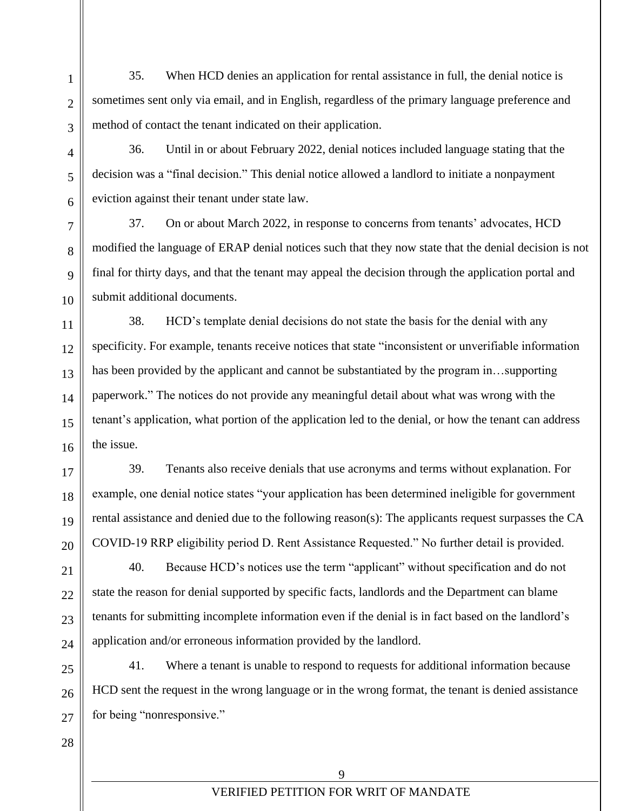35. When HCD denies an application for rental assistance in full, the denial notice is sometimes sent only via email, and in English, regardless of the primary language preference and method of contact the tenant indicated on their application.

36. Until in or about February 2022, denial notices included language stating that the decision was a "final decision." This denial notice allowed a landlord to initiate a nonpayment eviction against their tenant under state law.

37. On or about March 2022, in response to concerns from tenants' advocates, HCD modified the language of ERAP denial notices such that they now state that the denial decision is not final for thirty days, and that the tenant may appeal the decision through the application portal and submit additional documents.

38. HCD's template denial decisions do not state the basis for the denial with any specificity. For example, tenants receive notices that state "inconsistent or unverifiable information has been provided by the applicant and cannot be substantiated by the program in…supporting paperwork." The notices do not provide any meaningful detail about what was wrong with the tenant's application, what portion of the application led to the denial, or how the tenant can address the issue.

39. Tenants also receive denials that use acronyms and terms without explanation. For example, one denial notice states "your application has been determined ineligible for government rental assistance and denied due to the following reason(s): The applicants request surpasses the CA COVID-19 RRP eligibility period D. Rent Assistance Requested." No further detail is provided.

40. Because HCD's notices use the term "applicant" without specification and do not state the reason for denial supported by specific facts, landlords and the Department can blame tenants for submitting incomplete information even if the denial is in fact based on the landlord's application and/or erroneous information provided by the landlord.

41. Where a tenant is unable to respond to requests for additional information because HCD sent the request in the wrong language or in the wrong format, the tenant is denied assistance for being "nonresponsive."

28

1

 $\overline{2}$ 

3

4

5

6

7

8

9

10

11

12

13

14

15

16

17

18

19

20

21

 $22$ 

23

24

 $25$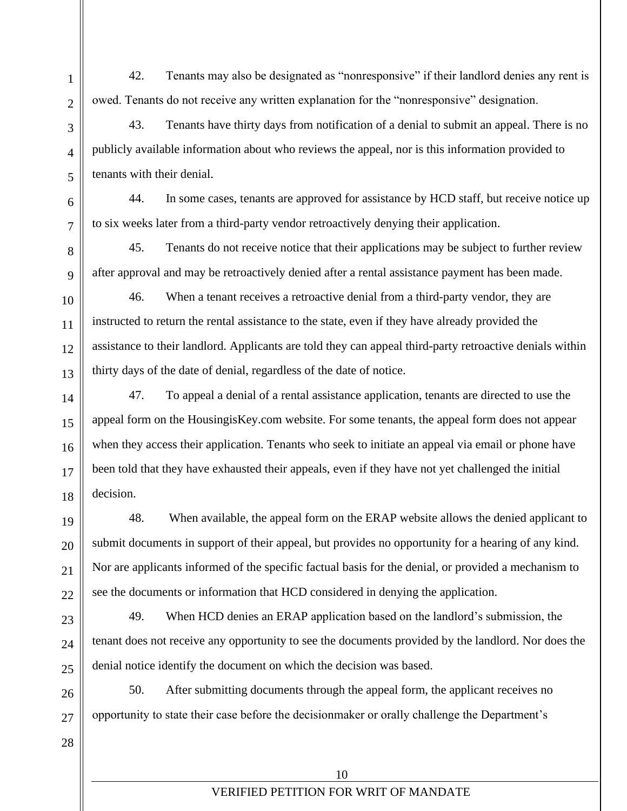42. Tenants may also be designated as "nonresponsive" if their landlord denies any rent is owed. Tenants do not receive any written explanation for the "nonresponsive" designation.

43. Tenants have thirty days from notification of a denial to submit an appeal. There is no publicly available information about who reviews the appeal, nor is this information provided to tenants with their denial.

44. In some cases, tenants are approved for assistance by HCD staff, but receive notice up to six weeks later from a third-party vendor retroactively denying their application.

45. Tenants do not receive notice that their applications may be subject to further review after approval and may be retroactively denied after a rental assistance payment has been made.

46. When a tenant receives a retroactive denial from a third-party vendor, they are instructed to return the rental assistance to the state, even if they have already provided the assistance to their landlord. Applicants are told they can appeal third-party retroactive denials within thirty days of the date of denial, regardless of the date of notice.

47. To appeal a denial of a rental assistance application, tenants are directed to use the appeal form on the HousingisKey.com website. For some tenants, the appeal form does not appear when they access their application. Tenants who seek to initiate an appeal via email or phone have been told that they have exhausted their appeals, even if they have not yet challenged the initial decision.

48. When available, the appeal form on the ERAP website allows the denied applicant to submit documents in support of their appeal, but provides no opportunity for a hearing of any kind. Nor are applicants informed of the specific factual basis for the denial, or provided a mechanism to see the documents or information that HCD considered in denying the application.

49. When HCD denies an ERAP application based on the landlord's submission, the tenant does not receive any opportunity to see the documents provided by the landlord. Nor does the denial notice identify the document on which the decision was based.

50. After submitting documents through the appeal form, the applicant receives no opportunity to state their case before the decisionmaker or orally challenge the Department's

1

 $\overline{2}$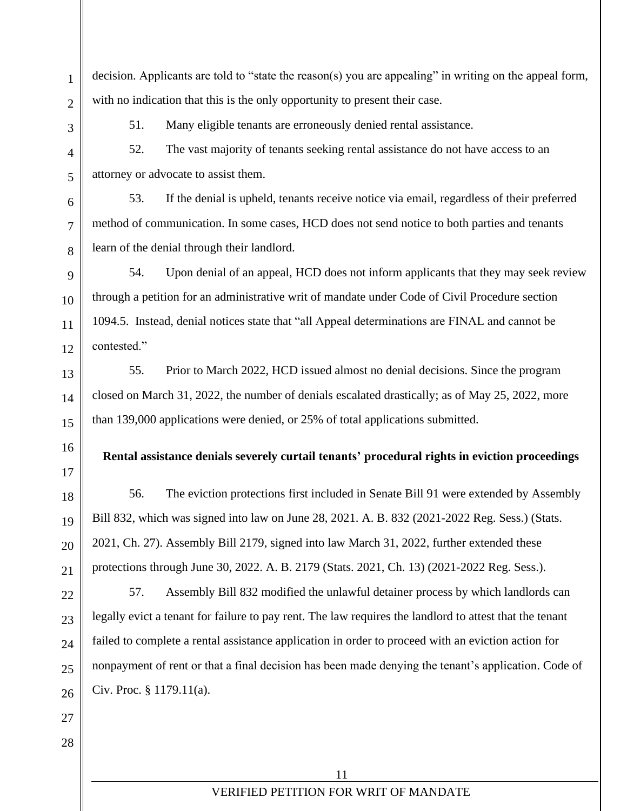decision. Applicants are told to "state the reason(s) you are appealing" in writing on the appeal form, with no indication that this is the only opportunity to present their case.

1

 $\overline{2}$ 

3

4

5

6

7

8

9

10

11

12

13

14

15

16

17

18

19

20

21

22

23

24

 $25$ 

51. Many eligible tenants are erroneously denied rental assistance.

52. The vast majority of tenants seeking rental assistance do not have access to an attorney or advocate to assist them.

53. If the denial is upheld, tenants receive notice via email, regardless of their preferred method of communication. In some cases, HCD does not send notice to both parties and tenants learn of the denial through their landlord.

54. Upon denial of an appeal, HCD does not inform applicants that they may seek review through a petition for an administrative writ of mandate under Code of Civil Procedure section 1094.5. Instead, denial notices state that "all Appeal determinations are FINAL and cannot be contested."

55. Prior to March 2022, HCD issued almost no denial decisions. Since the program closed on March 31, 2022, the number of denials escalated drastically; as of May 25, 2022, more than 139,000 applications were denied, or 25% of total applications submitted.

# **Rental assistance denials severely curtail tenants' procedural rights in eviction proceedings**

56. The eviction protections first included in Senate Bill 91 were extended by Assembly Bill 832, which was signed into law on June 28, 2021. A. B. 832 (2021-2022 Reg. Sess.) (Stats. 2021, Ch. 27). Assembly Bill 2179, signed into law March 31, 2022, further extended these protections through June 30, 2022. A. B. 2179 (Stats. 2021, Ch. 13) (2021-2022 Reg. Sess.).

57. Assembly Bill 832 modified the unlawful detainer process by which landlords can legally evict a tenant for failure to pay rent. The law requires the landlord to attest that the tenant failed to complete a rental assistance application in order to proceed with an eviction action for nonpayment of rent or that a final decision has been made denying the tenant's application. Code of Civ. Proc. § 1179.11(a).

26 27

28

11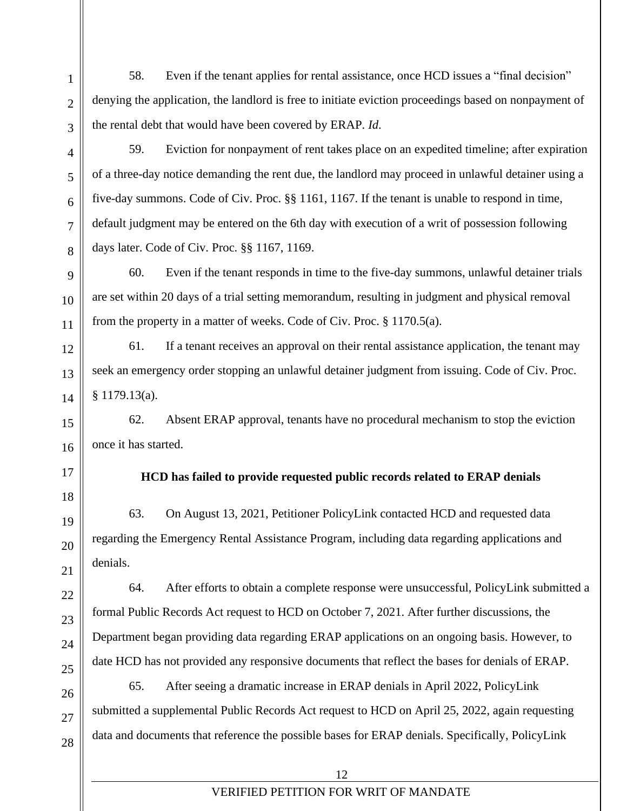58. Even if the tenant applies for rental assistance, once HCD issues a "final decision" denying the application, the landlord is free to initiate eviction proceedings based on nonpayment of the rental debt that would have been covered by ERAP. *Id*.

59. Eviction for nonpayment of rent takes place on an expedited timeline; after expiration of a three-day notice demanding the rent due, the landlord may proceed in unlawful detainer using a

five-day summons. Code of Civ. Proc. §§ 1161, 1167. If the tenant is unable to respond in time, default judgment may be entered on the 6th day with execution of a writ of possession following days later. Code of Civ. Proc. §§ 1167, 1169.

60. Even if the tenant responds in time to the five-day summons, unlawful detainer trials are set within 20 days of a trial setting memorandum, resulting in judgment and physical removal from the property in a matter of weeks. Code of Civ. Proc. § 1170.5(a).

61. If a tenant receives an approval on their rental assistance application, the tenant may seek an emergency order stopping an unlawful detainer judgment from issuing. Code of Civ. Proc. § 1179.13(a).

62. Absent ERAP approval, tenants have no procedural mechanism to stop the eviction once it has started.

17

1

 $\overline{2}$ 

3

4

5

6

7

8

9

10

11

12

13

14

15

16

18

19

20

21

22

23

24

25

26

27

28

# **HCD has failed to provide requested public records related to ERAP denials**

63. On August 13, 2021, Petitioner PolicyLink contacted HCD and requested data regarding the Emergency Rental Assistance Program, including data regarding applications and denials.

64. After efforts to obtain a complete response were unsuccessful, PolicyLink submitted a formal Public Records Act request to HCD on October 7, 2021. After further discussions, the Department began providing data regarding ERAP applications on an ongoing basis. However, to date HCD has not provided any responsive documents that reflect the bases for denials of ERAP.

65. After seeing a dramatic increase in ERAP denials in April 2022, PolicyLink submitted a supplemental Public Records Act request to HCD on April 25, 2022, again requesting data and documents that reference the possible bases for ERAP denials. Specifically, PolicyLink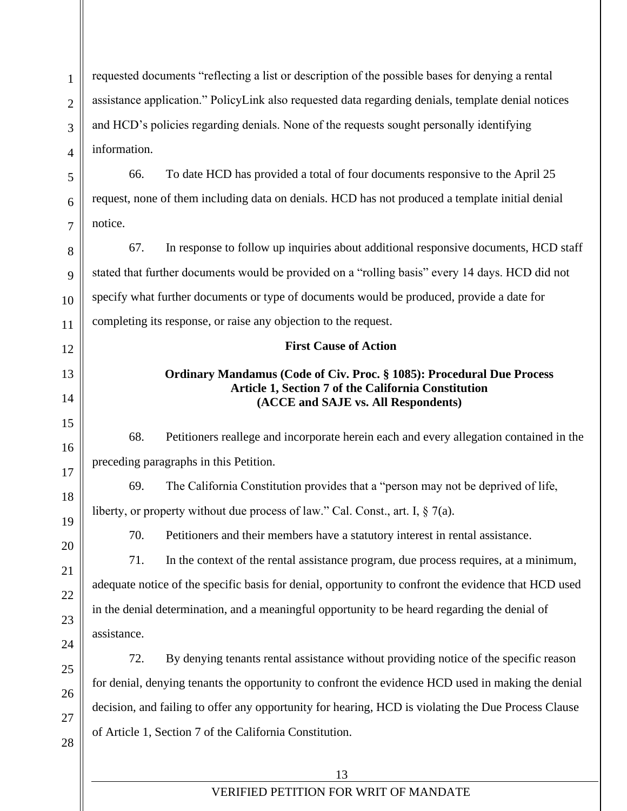requested documents "reflecting a list or description of the possible bases for denying a rental assistance application." PolicyLink also requested data regarding denials, template denial notices and HCD's policies regarding denials. None of the requests sought personally identifying information.

66. To date HCD has provided a total of four documents responsive to the April 25 request, none of them including data on denials. HCD has not produced a template initial denial notice.

67. In response to follow up inquiries about additional responsive documents, HCD staff stated that further documents would be provided on a "rolling basis" every 14 days. HCD did not specify what further documents or type of documents would be produced, provide a date for completing its response, or raise any objection to the request.

### **First Cause of Action**

# **Ordinary Mandamus (Code of Civ. Proc. § 1085): Procedural Due Process Article 1, Section 7 of the California Constitution (ACCE and SAJE vs. All Respondents)**

68. Petitioners reallege and incorporate herein each and every allegation contained in the preceding paragraphs in this Petition.

69. The California Constitution provides that a "person may not be deprived of life, liberty, or property without due process of law." Cal. Const., art. I,  $\S 7(a)$ .

70. Petitioners and their members have a statutory interest in rental assistance.

71. In the context of the rental assistance program, due process requires, at a minimum, adequate notice of the specific basis for denial, opportunity to confront the evidence that HCD used in the denial determination, and a meaningful opportunity to be heard regarding the denial of assistance.

72. By denying tenants rental assistance without providing notice of the specific reason for denial, denying tenants the opportunity to confront the evidence HCD used in making the denial decision, and failing to offer any opportunity for hearing, HCD is violating the Due Process Clause of Article 1, Section 7 of the California Constitution.

1

 $\overline{2}$ 

3

 $\overline{\mathbf{A}}$ 

5

6

7

8

9

10

11

12

13

14

15

16

17

18

19

20

21

22

23

24

25

26

27

28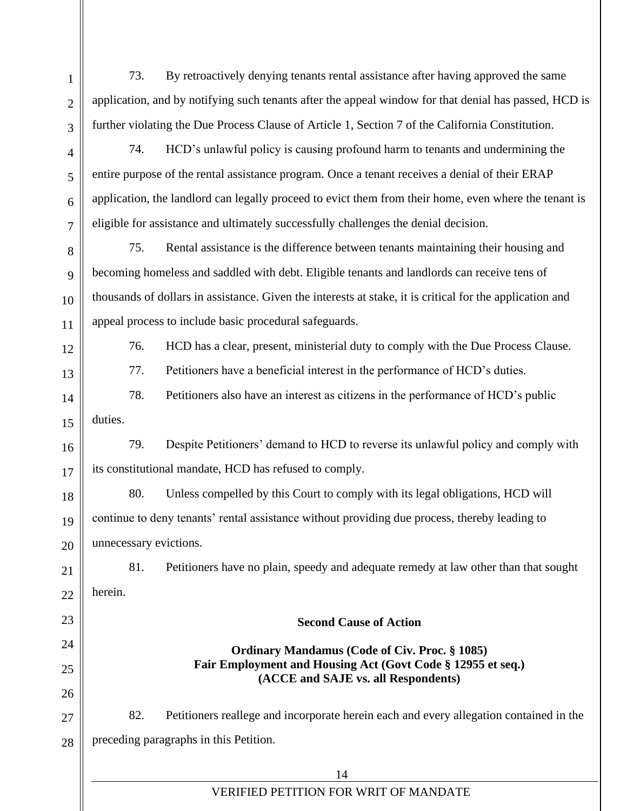1  $\mathcal{L}$ 3 4 5 6 7 73. By retroactively denying tenants rental assistance after having approved the same application, and by notifying such tenants after the appeal window for that denial has passed, HCD is further violating the Due Process Clause of Article 1, Section 7 of the California Constitution. 74. HCD's unlawful policy is causing profound harm to tenants and undermining the entire purpose of the rental assistance program. Once a tenant receives a denial of their ERAP application, the landlord can legally proceed to evict them from their home, even where the tenant is eligible for assistance and ultimately successfully challenges the denial decision.

75. Rental assistance is the difference between tenants maintaining their housing and becoming homeless and saddled with debt. Eligible tenants and landlords can receive tens of thousands of dollars in assistance. Given the interests at stake, it is critical for the application and appeal process to include basic procedural safeguards.

8

9

10

11

12

13

14

15

18

19

23

24

25

26

76. HCD has a clear, present, ministerial duty to comply with the Due Process Clause.

77. Petitioners have a beneficial interest in the performance of HCD's duties.

78. Petitioners also have an interest as citizens in the performance of HCD's public duties.

16 17 79. Despite Petitioners' demand to HCD to reverse its unlawful policy and comply with its constitutional mandate, HCD has refused to comply.

20 80. Unless compelled by this Court to comply with its legal obligations, HCD will continue to deny tenants' rental assistance without providing due process, thereby leading to unnecessary evictions.

21  $22$ 81. Petitioners have no plain, speedy and adequate remedy at law other than that sought herein.

> **Ordinary Mandamus (Code of Civ. Proc. § 1085) Fair Employment and Housing Act (Govt Code § 12955 et seq.) (ACCE and SAJE vs. all Respondents)**

**Second Cause of Action**

27 28 82. Petitioners reallege and incorporate herein each and every allegation contained in the preceding paragraphs in this Petition.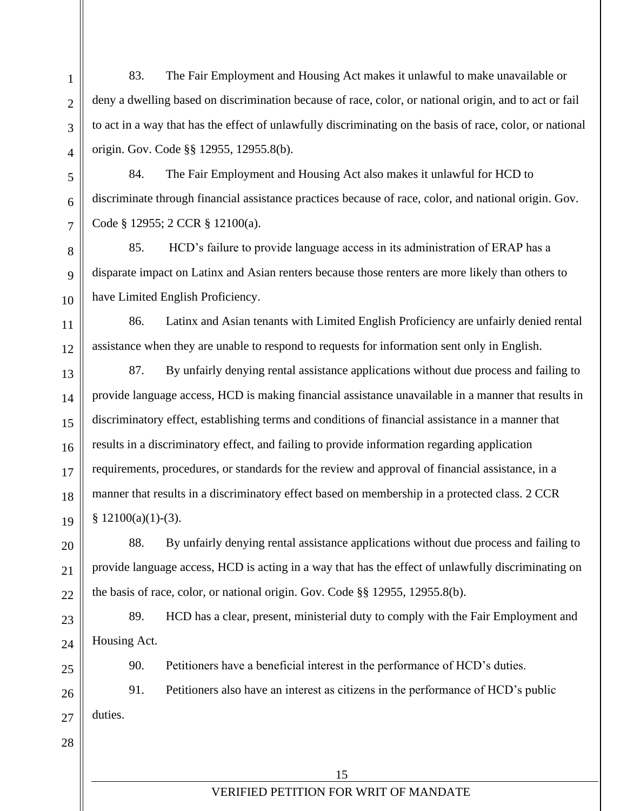83. The Fair Employment and Housing Act makes it unlawful to make unavailable or deny a dwelling based on discrimination because of race, color, or national origin, and to act or fail to act in a way that has the effect of unlawfully discriminating on the basis of race, color, or national origin. Gov. Code §§ 12955, 12955.8(b).

84. The Fair Employment and Housing Act also makes it unlawful for HCD to discriminate through financial assistance practices because of race, color, and national origin. Gov. Code § 12955; 2 CCR § 12100(a).

85. HCD's failure to provide language access in its administration of ERAP has a disparate impact on Latinx and Asian renters because those renters are more likely than others to have Limited English Proficiency.

86. Latinx and Asian tenants with Limited English Proficiency are unfairly denied rental assistance when they are unable to respond to requests for information sent only in English.

87. By unfairly denying rental assistance applications without due process and failing to provide language access, HCD is making financial assistance unavailable in a manner that results in discriminatory effect, establishing terms and conditions of financial assistance in a manner that results in a discriminatory effect, and failing to provide information regarding application requirements, procedures, or standards for the review and approval of financial assistance, in a manner that results in a discriminatory effect based on membership in a protected class. 2 CCR  $§ 12100(a)(1)-(3).$ 

88. By unfairly denying rental assistance applications without due process and failing to provide language access, HCD is acting in a way that has the effect of unlawfully discriminating on the basis of race, color, or national origin. Gov. Code §§ 12955, 12955.8(b).

89. HCD has a clear, present, ministerial duty to comply with the Fair Employment and Housing Act.

1

 $\overline{2}$ 

3

4

5

6

7

8

9

10

11

12

13

14

15

16

17

18

19

20

21

 $22$ 

23

24

25

28

90. Petitioners have a beneficial interest in the performance of HCD's duties.

26  $27$ 91. Petitioners also have an interest as citizens in the performance of HCD's public duties.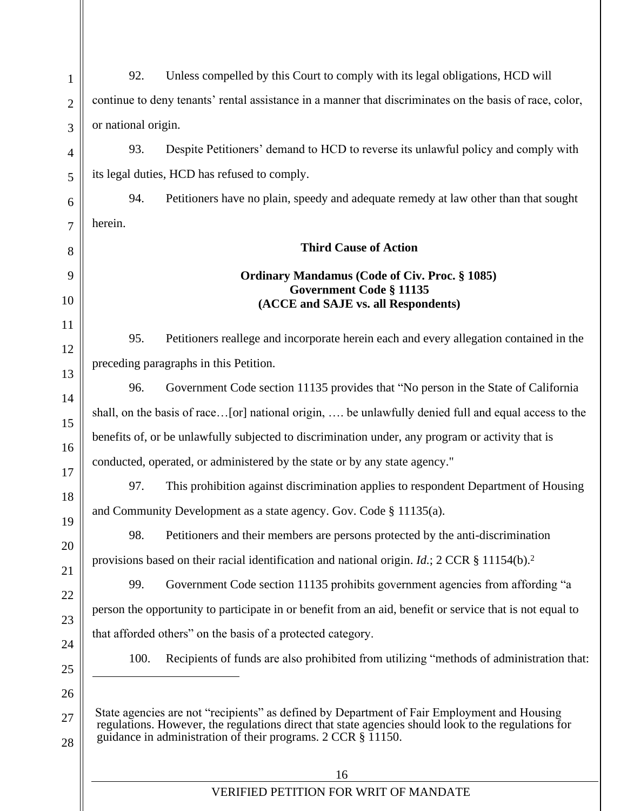| 92.<br>Unless compelled by this Court to comply with its legal obligations, HCD will                                                                                                                                                                                     |  |
|--------------------------------------------------------------------------------------------------------------------------------------------------------------------------------------------------------------------------------------------------------------------------|--|
| continue to deny tenants' rental assistance in a manner that discriminates on the basis of race, color,                                                                                                                                                                  |  |
| or national origin.                                                                                                                                                                                                                                                      |  |
| 93.<br>Despite Petitioners' demand to HCD to reverse its unlawful policy and comply with                                                                                                                                                                                 |  |
| its legal duties, HCD has refused to comply.                                                                                                                                                                                                                             |  |
| 94.<br>Petitioners have no plain, speedy and adequate remedy at law other than that sought                                                                                                                                                                               |  |
| herein.                                                                                                                                                                                                                                                                  |  |
| <b>Third Cause of Action</b>                                                                                                                                                                                                                                             |  |
| <b>Ordinary Mandamus (Code of Civ. Proc. § 1085)</b>                                                                                                                                                                                                                     |  |
| <b>Government Code § 11135</b><br>(ACCE and SAJE vs. all Respondents)                                                                                                                                                                                                    |  |
|                                                                                                                                                                                                                                                                          |  |
| 95.<br>Petitioners reallege and incorporate herein each and every allegation contained in the                                                                                                                                                                            |  |
| preceding paragraphs in this Petition.                                                                                                                                                                                                                                   |  |
| 96.<br>Government Code section 11135 provides that "No person in the State of California                                                                                                                                                                                 |  |
| shall, on the basis of race[or] national origin,  be unlawfully denied full and equal access to the                                                                                                                                                                      |  |
| benefits of, or be unlawfully subjected to discrimination under, any program or activity that is                                                                                                                                                                         |  |
| conducted, operated, or administered by the state or by any state agency."                                                                                                                                                                                               |  |
| This prohibition against discrimination applies to respondent Department of Housing<br>97.                                                                                                                                                                               |  |
| and Community Development as a state agency. Gov. Code § 11135(a).                                                                                                                                                                                                       |  |
| Petitioners and their members are persons protected by the anti-discrimination<br>98.                                                                                                                                                                                    |  |
| provisions based on their racial identification and national origin. <i>Id.</i> ; 2 CCR § 11154(b). <sup>2</sup>                                                                                                                                                         |  |
| Government Code section 11135 prohibits government agencies from affording "a<br>99.                                                                                                                                                                                     |  |
| person the opportunity to participate in or benefit from an aid, benefit or service that is not equal to                                                                                                                                                                 |  |
| that afforded others" on the basis of a protected category.                                                                                                                                                                                                              |  |
| Recipients of funds are also prohibited from utilizing "methods of administration that:<br>100.                                                                                                                                                                          |  |
| State agencies are not "recipients" as defined by Department of Fair Employment and Housing<br>regulations. However, the regulations direct that state agencies should look to the regulations for<br>guidance in administration of their programs. 2 CCR § 11150.<br>16 |  |
|                                                                                                                                                                                                                                                                          |  |

# VERIFIED PETITION FOR WRIT OF MANDATE

 $\mathsf{I}$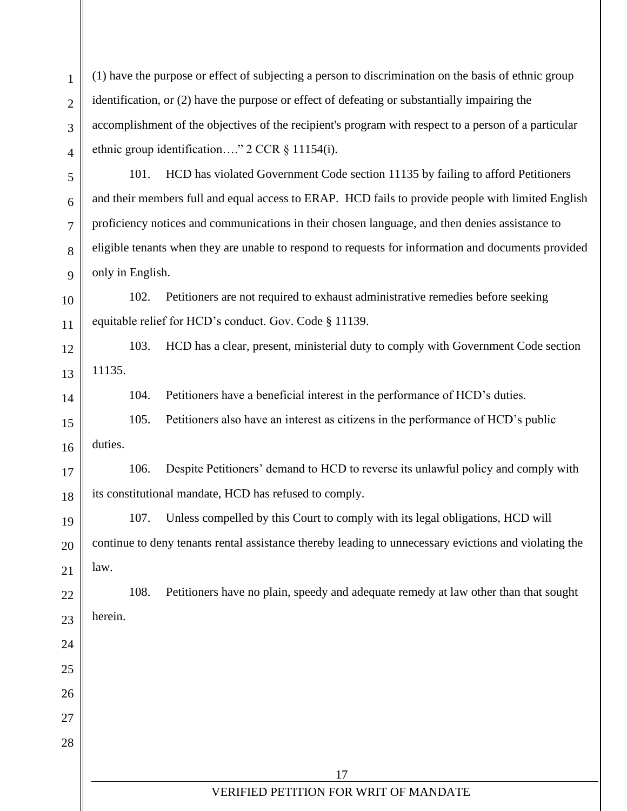(1) have the purpose or effect of subjecting a person to discrimination on the basis of ethnic group identification, or (2) have the purpose or effect of defeating or substantially impairing the accomplishment of the objectives of the recipient's program with respect to a person of a particular ethnic group identification…." 2 CCR § 11154(i).

101. HCD has violated Government Code section 11135 by failing to afford Petitioners and their members full and equal access to ERAP. HCD fails to provide people with limited English proficiency notices and communications in their chosen language, and then denies assistance to eligible tenants when they are unable to respond to requests for information and documents provided only in English.

102. Petitioners are not required to exhaust administrative remedies before seeking equitable relief for HCD's conduct. Gov. Code § 11139.

103. HCD has a clear, present, ministerial duty to comply with Government Code section 11135.

104. Petitioners have a beneficial interest in the performance of HCD's duties.

15 16 105. Petitioners also have an interest as citizens in the performance of HCD's public duties.

17 18 106. Despite Petitioners' demand to HCD to reverse its unlawful policy and comply with its constitutional mandate, HCD has refused to comply.

107. Unless compelled by this Court to comply with its legal obligations, HCD will continue to deny tenants rental assistance thereby leading to unnecessary evictions and violating the law.

108. Petitioners have no plain, speedy and adequate remedy at law other than that sought

22 23 herein.

1

 $\overline{2}$ 

3

4

5

6

7

8

9

10

11

12

13

14

19

20

21

24

25

26

27

28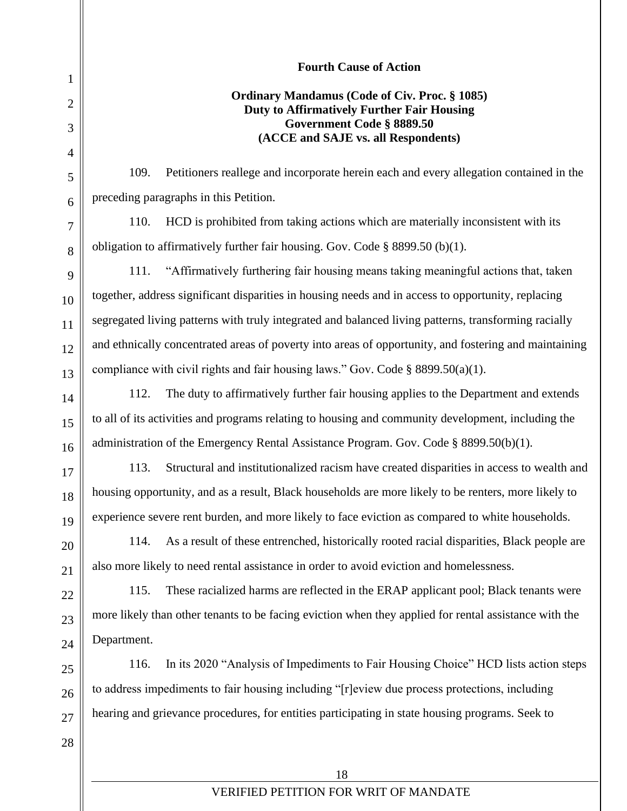**Fourth Cause of Action Ordinary Mandamus (Code of Civ. Proc. § 1085) Duty to Affirmatively Further Fair Housing Government Code § 8889.50 (ACCE and SAJE vs. all Respondents)** 109. Petitioners reallege and incorporate herein each and every allegation contained in the preceding paragraphs in this Petition. 110. HCD is prohibited from taking actions which are materially inconsistent with its obligation to affirmatively further fair housing. Gov. Code § 8899.50 (b)(1). 111. "Affirmatively furthering fair housing means taking meaningful actions that, taken together, address significant disparities in housing needs and in access to opportunity, replacing segregated living patterns with truly integrated and balanced living patterns, transforming racially and ethnically concentrated areas of poverty into areas of opportunity, and fostering and maintaining compliance with civil rights and fair housing laws." Gov. Code  $\S$  8899.50(a)(1). 112. The duty to affirmatively further fair housing applies to the Department and extends to all of its activities and programs relating to housing and community development, including the administration of the Emergency Rental Assistance Program. Gov. Code § 8899.50(b)(1). 113. Structural and institutionalized racism have created disparities in access to wealth and housing opportunity, and as a result, Black households are more likely to be renters, more likely to experience severe rent burden, and more likely to face eviction as compared to white households. 114. As a result of these entrenched, historically rooted racial disparities, Black people are also more likely to need rental assistance in order to avoid eviction and homelessness. 115. These racialized harms are reflected in the ERAP applicant pool; Black tenants were more likely than other tenants to be facing eviction when they applied for rental assistance with the Department. 116. In its 2020 "Analysis of Impediments to Fair Housing Choice" HCD lists action steps to address impediments to fair housing including "[r]eview due process protections, including hearing and grievance procedures, for entities participating in state housing programs. Seek to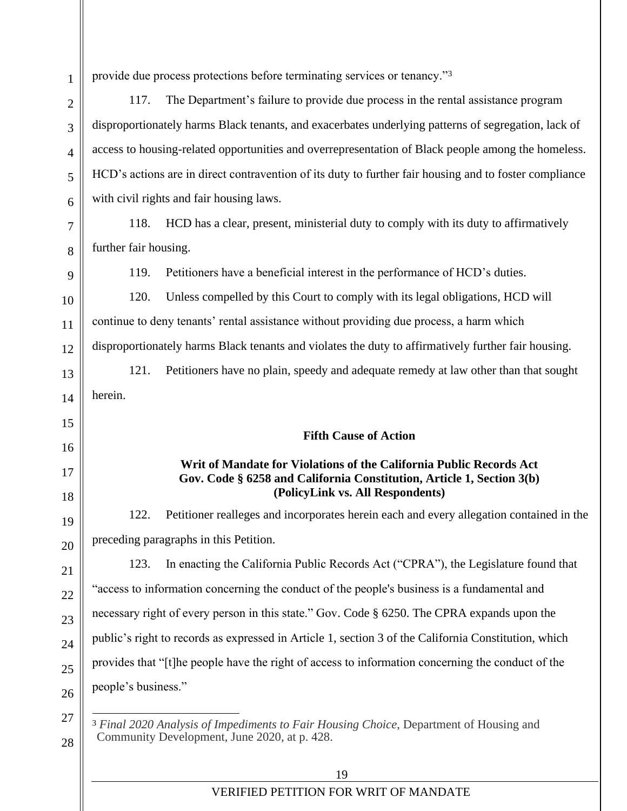1  $\mathfrak{D}$ 3 4 5 6 7 8 9 10 11 12 13 14 15 16 17 18 19 20 21 22 23 24  $25$ 26 27 28 provide due process protections before terminating services or tenancy."<sup>3</sup> 117. The Department's failure to provide due process in the rental assistance program disproportionately harms Black tenants, and exacerbates underlying patterns of segregation, lack of access to housing-related opportunities and overrepresentation of Black people among the homeless. HCD's actions are in direct contravention of its duty to further fair housing and to foster compliance with civil rights and fair housing laws. 118. HCD has a clear, present, ministerial duty to comply with its duty to affirmatively further fair housing. 119. Petitioners have a beneficial interest in the performance of HCD's duties. 120. Unless compelled by this Court to comply with its legal obligations, HCD will continue to deny tenants' rental assistance without providing due process, a harm which disproportionately harms Black tenants and violates the duty to affirmatively further fair housing. 121. Petitioners have no plain, speedy and adequate remedy at law other than that sought herein. **Fifth Cause of Action Writ of Mandate for Violations of the California Public Records Act Gov. Code § 6258 and California Constitution, Article 1, Section 3(b) (PolicyLink vs. All Respondents)** 122. Petitioner realleges and incorporates herein each and every allegation contained in the preceding paragraphs in this Petition. 123. In enacting the California Public Records Act ("CPRA"), the Legislature found that "access to information concerning the conduct of the people's business is a fundamental and necessary right of every person in this state." Gov. Code § 6250. The CPRA expands upon the public's right to records as expressed in Article 1, section 3 of the California Constitution, which provides that "[t]he people have the right of access to information concerning the conduct of the people's business." <sup>3</sup> *Final 2020 Analysis of Impediments to Fair Housing Choice*, Department of Housing and Community Development, June 2020, at p. 428.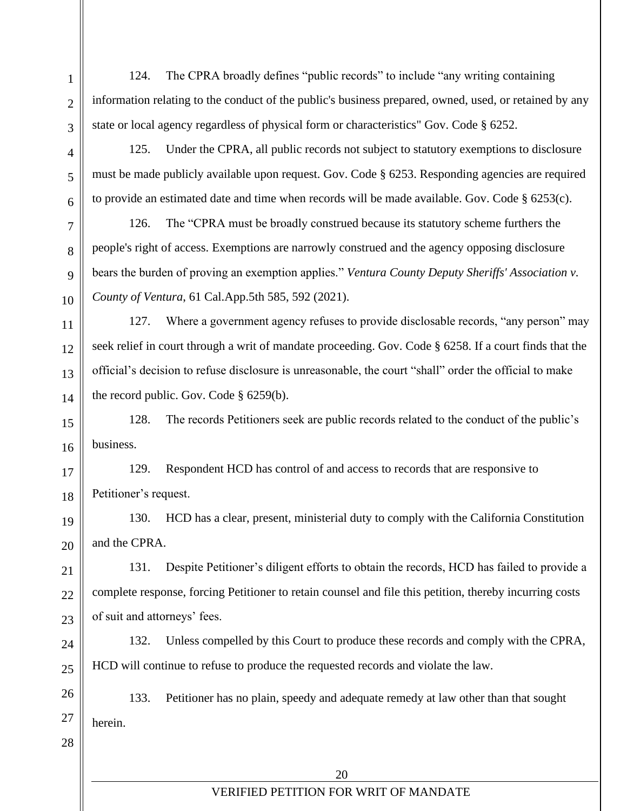1

124. The CPRA broadly defines "public records" to include "any writing containing information relating to the conduct of the public's business prepared, owned, used, or retained by any state or local agency regardless of physical form or characteristics" Gov. Code § 6252.

125. Under the CPRA, all public records not subject to statutory exemptions to disclosure must be made publicly available upon request. Gov. Code § 6253. Responding agencies are required to provide an estimated date and time when records will be made available. Gov. Code § 6253(c).

126. The "CPRA must be broadly construed because its statutory scheme furthers the people's right of access. Exemptions are narrowly construed and the agency opposing disclosure bears the burden of proving an exemption applies." *Ventura County Deputy Sheriffs' Association v. County of Ventura*, 61 Cal.App.5th 585, 592 (2021).

127. Where a government agency refuses to provide disclosable records, "any person" may seek relief in court through a writ of mandate proceeding. Gov. Code § 6258. If a court finds that the official's decision to refuse disclosure is unreasonable, the court "shall" order the official to make the record public. Gov. Code § 6259(b).

128. The records Petitioners seek are public records related to the conduct of the public's business.

129. Respondent HCD has control of and access to records that are responsive to Petitioner's request.

130. HCD has a clear, present, ministerial duty to comply with the California Constitution and the CPRA.

131. Despite Petitioner's diligent efforts to obtain the records, HCD has failed to provide a complete response, forcing Petitioner to retain counsel and file this petition, thereby incurring costs of suit and attorneys' fees.

132. Unless compelled by this Court to produce these records and comply with the CPRA, HCD will continue to refuse to produce the requested records and violate the law.

133. Petitioner has no plain, speedy and adequate remedy at law other than that sought herein.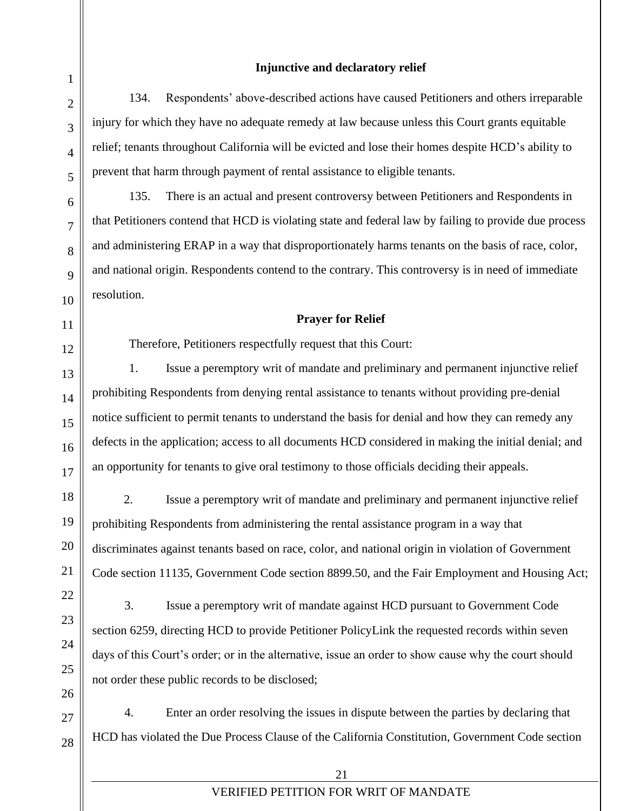### **Injunctive and declaratory relief**

134. Respondents' above-described actions have caused Petitioners and others irreparable injury for which they have no adequate remedy at law because unless this Court grants equitable relief; tenants throughout California will be evicted and lose their homes despite HCD's ability to prevent that harm through payment of rental assistance to eligible tenants.

135. There is an actual and present controversy between Petitioners and Respondents in that Petitioners contend that HCD is violating state and federal law by failing to provide due process and administering ERAP in a way that disproportionately harms tenants on the basis of race, color, and national origin. Respondents contend to the contrary. This controversy is in need of immediate resolution.

## **Prayer for Relief**

Therefore, Petitioners respectfully request that this Court:

1. Issue a peremptory writ of mandate and preliminary and permanent injunctive relief prohibiting Respondents from denying rental assistance to tenants without providing pre-denial notice sufficient to permit tenants to understand the basis for denial and how they can remedy any defects in the application; access to all documents HCD considered in making the initial denial; and an opportunity for tenants to give oral testimony to those officials deciding their appeals.

2. Issue a peremptory writ of mandate and preliminary and permanent injunctive relief prohibiting Respondents from administering the rental assistance program in a way that discriminates against tenants based on race, color, and national origin in violation of Government Code section 11135, Government Code section 8899.50, and the Fair Employment and Housing Act;

3. Issue a peremptory writ of mandate against HCD pursuant to Government Code section 6259, directing HCD to provide Petitioner PolicyLink the requested records within seven days of this Court's order; or in the alternative, issue an order to show cause why the court should not order these public records to be disclosed;

4. Enter an order resolving the issues in dispute between the parties by declaring that HCD has violated the Due Process Clause of the California Constitution, Government Code section

21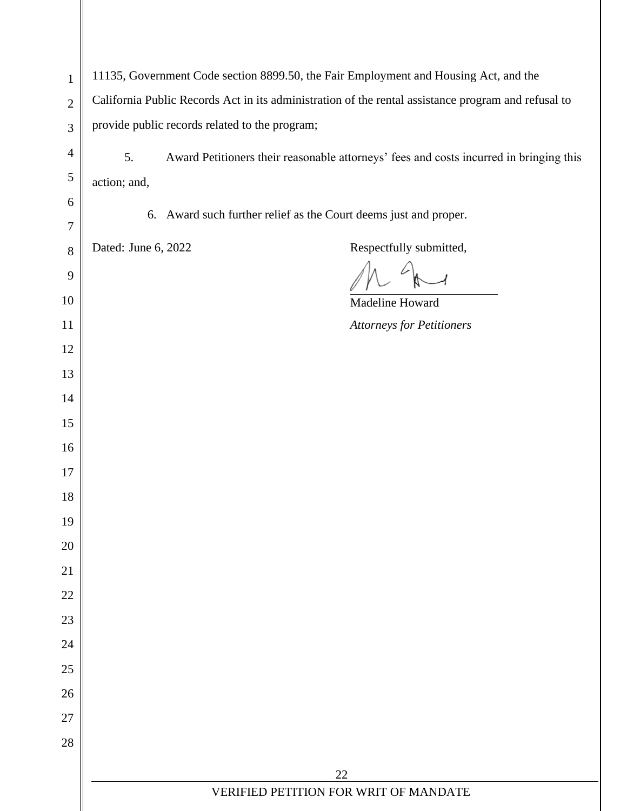|                                |                                                                                                     | 11135, Government Code section 8899.50, the Fair Employment and Housing Act, and the   |  |
|--------------------------------|-----------------------------------------------------------------------------------------------------|----------------------------------------------------------------------------------------|--|
| $\mathbf{1}$<br>$\overline{2}$ | California Public Records Act in its administration of the rental assistance program and refusal to |                                                                                        |  |
| 3                              | provide public records related to the program;                                                      |                                                                                        |  |
| $\overline{4}$                 |                                                                                                     |                                                                                        |  |
| 5                              | 5.                                                                                                  | Award Petitioners their reasonable attorneys' fees and costs incurred in bringing this |  |
| 6                              | action; and,                                                                                        |                                                                                        |  |
| $\tau$                         |                                                                                                     | 6. Award such further relief as the Court deems just and proper.                       |  |
| 8                              | Dated: June 6, 2022                                                                                 | Respectfully submitted,                                                                |  |
| 9                              |                                                                                                     |                                                                                        |  |
| 10                             |                                                                                                     | Madeline Howard                                                                        |  |
| 11                             |                                                                                                     | <b>Attorneys for Petitioners</b>                                                       |  |
| 12                             |                                                                                                     |                                                                                        |  |
| 13                             |                                                                                                     |                                                                                        |  |
| 14                             |                                                                                                     |                                                                                        |  |
| 15                             |                                                                                                     |                                                                                        |  |
| 16                             |                                                                                                     |                                                                                        |  |
| 17                             |                                                                                                     |                                                                                        |  |
| 18                             |                                                                                                     |                                                                                        |  |
| 19                             |                                                                                                     |                                                                                        |  |
| 20                             |                                                                                                     |                                                                                        |  |
| 21                             |                                                                                                     |                                                                                        |  |
| 22                             |                                                                                                     |                                                                                        |  |
| 23                             |                                                                                                     |                                                                                        |  |
| 24                             |                                                                                                     |                                                                                        |  |
| 25                             |                                                                                                     |                                                                                        |  |
| 26                             |                                                                                                     |                                                                                        |  |
| 27<br>28                       |                                                                                                     |                                                                                        |  |
|                                |                                                                                                     |                                                                                        |  |
|                                |                                                                                                     | 22<br>VERIFIED PETITION FOR WRIT OF MANDATE                                            |  |
|                                |                                                                                                     |                                                                                        |  |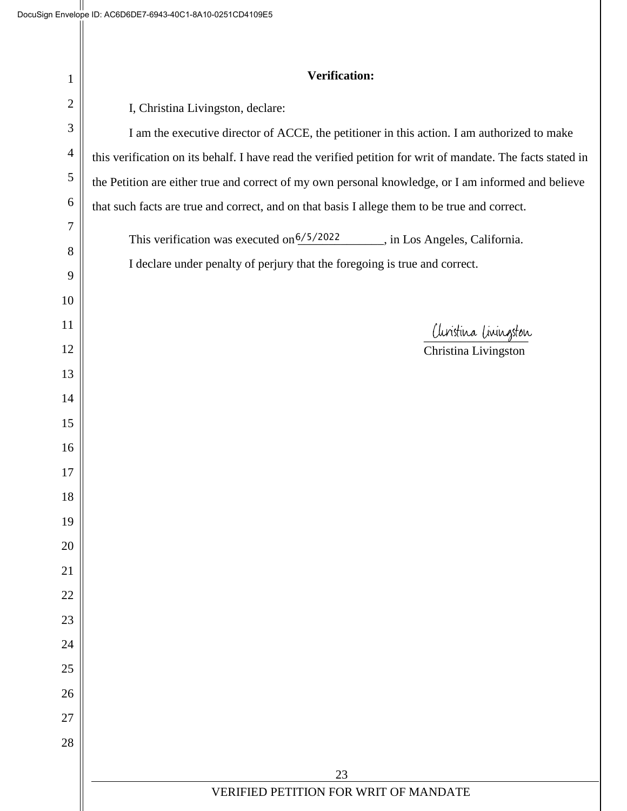$\parallel$ 

| 1              | <b>Verification:</b>                                                                                        |  |  |
|----------------|-------------------------------------------------------------------------------------------------------------|--|--|
| $\overline{2}$ | I, Christina Livingston, declare:                                                                           |  |  |
| $\mathfrak{Z}$ | I am the executive director of ACCE, the petitioner in this action. I am authorized to make                 |  |  |
| $\overline{4}$ | this verification on its behalf. I have read the verified petition for writ of mandate. The facts stated in |  |  |
| $\sqrt{5}$     | the Petition are either true and correct of my own personal knowledge, or I am informed and believe         |  |  |
| 6              | that such facts are true and correct, and on that basis I allege them to be true and correct.               |  |  |
| $\overline{7}$ | This verification was executed on <sup>6/5/2022</sup> , in Los Angeles, California.                         |  |  |
| 8              | I declare under penalty of perjury that the foregoing is true and correct.                                  |  |  |
| 9              |                                                                                                             |  |  |
| 10             |                                                                                                             |  |  |
| 11             | Clinistina Livingston                                                                                       |  |  |
| 12             | Christina Livingston                                                                                        |  |  |
| 13             |                                                                                                             |  |  |
| 14             |                                                                                                             |  |  |
| 15<br>16       |                                                                                                             |  |  |
| 17             |                                                                                                             |  |  |
| 18             |                                                                                                             |  |  |
| 19             |                                                                                                             |  |  |
| 20             |                                                                                                             |  |  |
| 21             |                                                                                                             |  |  |
| 22             |                                                                                                             |  |  |
| 23             |                                                                                                             |  |  |
| 24             |                                                                                                             |  |  |
| 25             |                                                                                                             |  |  |
| 26             |                                                                                                             |  |  |
| 27             |                                                                                                             |  |  |
| 28             |                                                                                                             |  |  |
|                | 23                                                                                                          |  |  |
|                | VERIFIED PETITION FOR WRIT OF MANDATE                                                                       |  |  |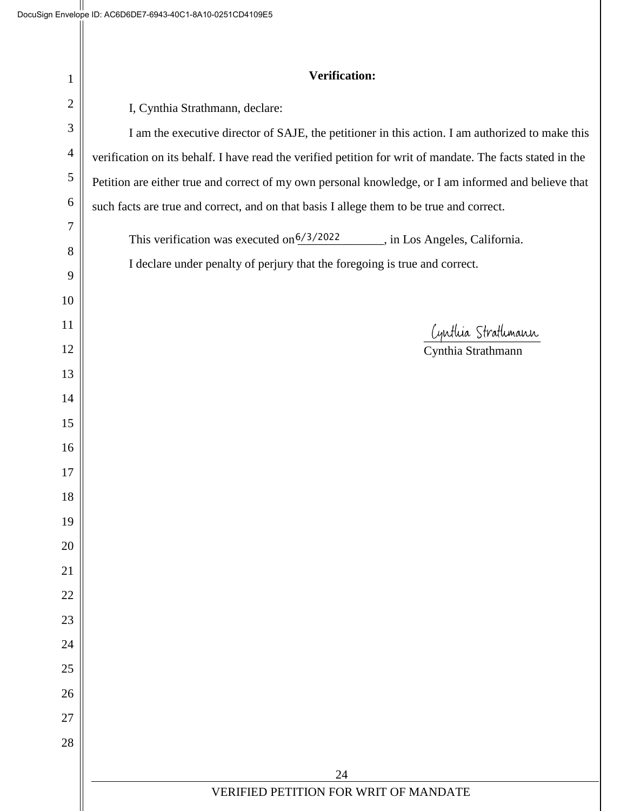$\mathbb I$ 

| 1              | <b>Verification:</b>                                                                                       |  |
|----------------|------------------------------------------------------------------------------------------------------------|--|
| $\overline{2}$ | I, Cynthia Strathmann, declare:                                                                            |  |
| 3              | I am the executive director of SAJE, the petitioner in this action. I am authorized to make this           |  |
| $\overline{4}$ | verification on its behalf. I have read the verified petition for writ of mandate. The facts stated in the |  |
| $\sqrt{5}$     | Petition are either true and correct of my own personal knowledge, or I am informed and believe that       |  |
| 6              | such facts are true and correct, and on that basis I allege them to be true and correct.                   |  |
| $\tau$         | This verification was executed on <sup>6/3/2022</sup> _______, in Los Angeles, California.                 |  |
| 8              | I declare under penalty of perjury that the foregoing is true and correct.                                 |  |
| 9              |                                                                                                            |  |
| 10             |                                                                                                            |  |
| 11             | Cynthia Strathmann<br>Cynthia Strathmann                                                                   |  |
| 12             |                                                                                                            |  |
| 13<br>14       |                                                                                                            |  |
| 15             |                                                                                                            |  |
| 16             |                                                                                                            |  |
| 17             |                                                                                                            |  |
| 18             |                                                                                                            |  |
| 19             |                                                                                                            |  |
| 20             |                                                                                                            |  |
| 21             |                                                                                                            |  |
| 22             |                                                                                                            |  |
| 23             |                                                                                                            |  |
| 24             |                                                                                                            |  |
| 25             |                                                                                                            |  |
| 26             |                                                                                                            |  |
| 27             |                                                                                                            |  |
| 28             |                                                                                                            |  |
|                | 24                                                                                                         |  |
|                | VERIFIED PETITION FOR WRIT OF MANDATE                                                                      |  |